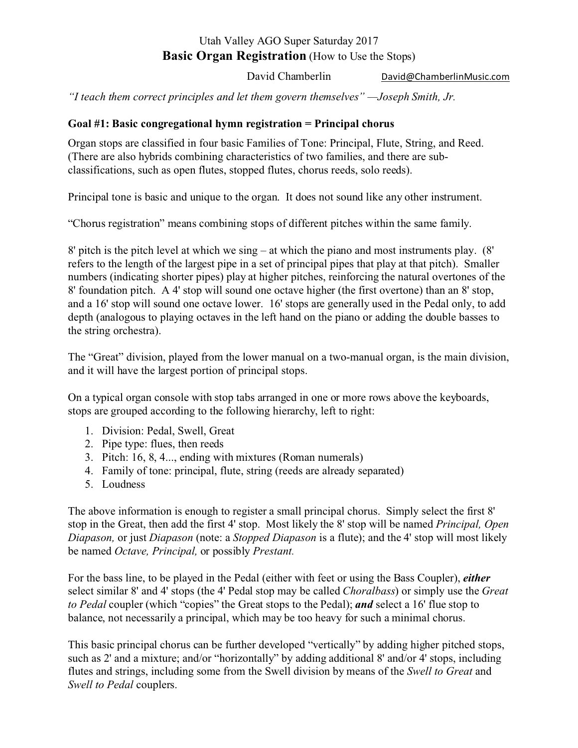# Utah Valley AGO Super Saturday 2017 **Basic Organ Registration** (How to Use the Stops)

David Chamberlin David@ChamberlinMusic.com

*"I teach them correct principles and let them govern themselves" —Joseph Smith, Jr.*

## **Goal #1: Basic congregational hymn registration = Principal chorus**

Organ stops are classified in four basic Families of Tone: Principal, Flute, String, and Reed. (There are also hybrids combining characteristics of two families, and there are subclassifications, such as open flutes, stopped flutes, chorus reeds, solo reeds).

Principal tone is basic and unique to the organ. It does not sound like any other instrument.

"Chorus registration" means combining stops of different pitches within the same family.

8' pitch is the pitch level at which we sing – at which the piano and most instruments play. (8' refers to the length of the largest pipe in a set of principal pipes that play at that pitch). Smaller numbers (indicating shorter pipes) play at higher pitches, reinforcing the natural overtones of the 8' foundation pitch. A 4' stop will sound one octave higher (the first overtone) than an 8' stop, and a 16' stop will sound one octave lower. 16' stops are generally used in the Pedal only, to add depth (analogous to playing octaves in the left hand on the piano or adding the double basses to the string orchestra).

The "Great" division, played from the lower manual on a two-manual organ, is the main division, and it will have the largest portion of principal stops.

On a typical organ console with stop tabs arranged in one or more rows above the keyboards, stops are grouped according to the following hierarchy, left to right:

- 1. Division: Pedal, Swell, Great
- 2. Pipe type: flues, then reeds
- 3. Pitch: 16, 8, 4..., ending with mixtures (Roman numerals)
- 4. Family of tone: principal, flute, string (reeds are already separated)
- 5. Loudness

The above information is enough to register a small principal chorus. Simply select the first 8' stop in the Great, then add the first 4' stop. Most likely the 8' stop will be named *Principal, Open Diapason,* or just *Diapason* (note: a *Stopped Diapason* is a flute); and the 4' stop will most likely be named *Octave, Principal,* or possibly *Prestant.*

For the bass line, to be played in the Pedal (either with feet or using the Bass Coupler), *either* select similar 8' and 4' stops (the 4' Pedal stop may be called *Choralbass*) or simply use the *Great to Pedal* coupler (which "copies" the Great stops to the Pedal); *and* select a 16' flue stop to balance, not necessarily a principal, which may be too heavy for such a minimal chorus.

This basic principal chorus can be further developed "vertically" by adding higher pitched stops, such as 2' and a mixture; and/or "horizontally" by adding additional 8' and/or 4' stops, including flutes and strings, including some from the Swell division by means of the *Swell to Great* and *Swell to Pedal* couplers.